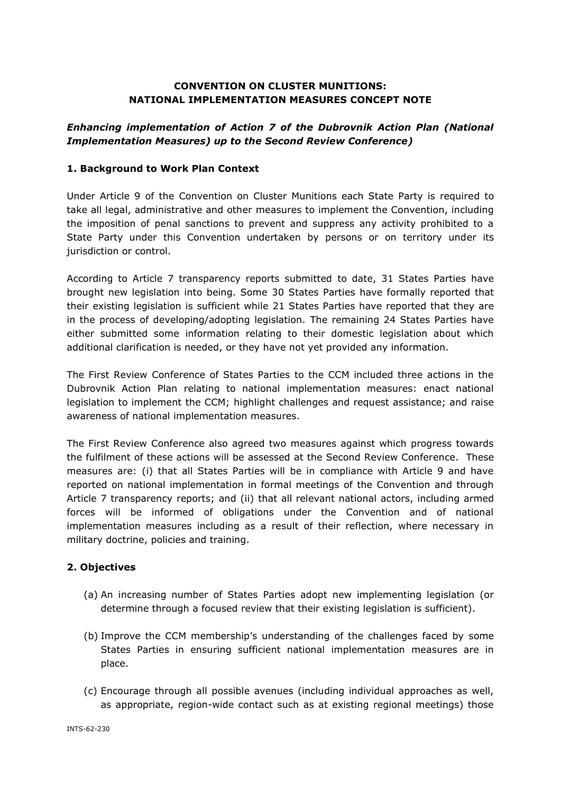# **CONVENTION ON CLUSTER MUNITIONS: NATIONAL IMPLEMENTATION MEASURES CONCEPT NOTE**

# *Enhancing implementation of Action 7 of the Dubrovnik Action Plan (National Implementation Measures) up to the Second Review Conference)*

### **1. Background to Work Plan Context**

Under Article 9 of the Convention on Cluster Munitions each State Party is required to take all legal, administrative and other measures to implement the Convention, including the imposition of penal sanctions to prevent and suppress any activity prohibited to a State Party under this Convention undertaken by persons or on territory under its jurisdiction or control.

According to Article 7 transparency reports submitted to date, 31 States Parties have brought new legislation into being. Some 30 States Parties have formally reported that their existing legislation is sufficient while 21 States Parties have reported that they are in the process of developing/adopting legislation. The remaining 24 States Parties have either submitted some information relating to their domestic legislation about which additional clarification is needed, or they have not yet provided any information.

The First Review Conference of States Parties to the CCM included three actions in the Dubrovnik Action Plan relating to national implementation measures: enact national legislation to implement the CCM; highlight challenges and request assistance; and raise awareness of national implementation measures.

The First Review Conference also agreed two measures against which progress towards the fulfilment of these actions will be assessed at the Second Review Conference. These measures are: (i) that all States Parties will be in compliance with Article 9 and have reported on national implementation in formal meetings of the Convention and through Article 7 transparency reports; and (ii) that all relevant national actors, including armed forces will be informed of obligations under the Convention and of national implementation measures including as a result of their reflection, where necessary in military doctrine, policies and training.

### **2. Objectives**

- (a) An increasing number of States Parties adopt new implementing legislation (or determine through a focused review that their existing legislation is sufficient).
- (b) Improve the CCM membership's understanding of the challenges faced by some States Parties in ensuring sufficient national implementation measures are in place.
- (c) Encourage through all possible avenues (including individual approaches as well, as appropriate, region-wide contact such as at existing regional meetings) those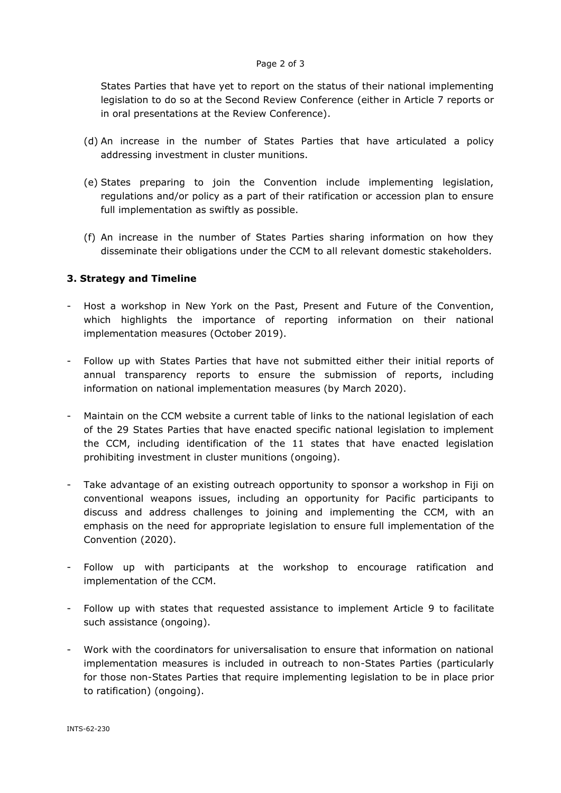#### Page 2 of 3

States Parties that have yet to report on the status of their national implementing legislation to do so at the Second Review Conference (either in Article 7 reports or in oral presentations at the Review Conference).

- (d) An increase in the number of States Parties that have articulated a policy addressing investment in cluster munitions.
- (e) States preparing to join the Convention include implementing legislation, regulations and/or policy as a part of their ratification or accession plan to ensure full implementation as swiftly as possible.
- (f) An increase in the number of States Parties sharing information on how they disseminate their obligations under the CCM to all relevant domestic stakeholders.

### **3. Strategy and Timeline**

- Host a workshop in New York on the Past, Present and Future of the Convention, which highlights the importance of reporting information on their national implementation measures (October 2019).
- Follow up with States Parties that have not submitted either their initial reports of annual transparency reports to ensure the submission of reports, including information on national implementation measures (by March 2020).
- Maintain on the CCM website a current table of links to the national legislation of each of the 29 States Parties that have enacted specific national legislation to implement the CCM, including identification of the 11 states that have enacted legislation prohibiting investment in cluster munitions (ongoing).
- Take advantage of an existing outreach opportunity to sponsor a workshop in Fiji on conventional weapons issues, including an opportunity for Pacific participants to discuss and address challenges to joining and implementing the CCM, with an emphasis on the need for appropriate legislation to ensure full implementation of the Convention (2020).
- Follow up with participants at the workshop to encourage ratification and implementation of the CCM.
- Follow up with states that requested assistance to implement Article 9 to facilitate such assistance (ongoing).
- Work with the coordinators for universalisation to ensure that information on national implementation measures is included in outreach to non-States Parties (particularly for those non-States Parties that require implementing legislation to be in place prior to ratification) (ongoing).